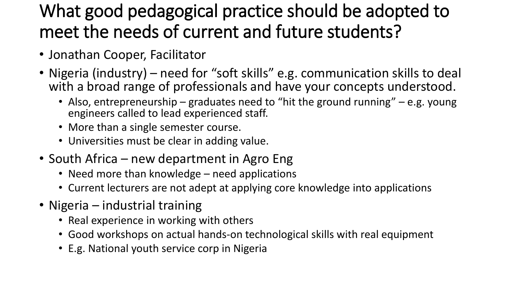## What good pedagogical practice should be adopted to meet the needs of current and future students?

- Jonathan Cooper, Facilitator
- Nigeria (industry) need for "soft skills" e.g. communication skills to deal with a broad range of professionals and have your concepts understood.
	- Also, entrepreneurship graduates need to "hit the ground running" e.g. young engineers called to lead experienced staff.
	- More than a single semester course.
	- Universities must be clear in adding value.
- South Africa new department in Agro Eng
	- Need more than knowledge need applications
	- Current lecturers are not adept at applying core knowledge into applications
- Nigeria industrial training
	- Real experience in working with others
	- Good workshops on actual hands-on technological skills with real equipment
	- E.g. National youth service corp in Nigeria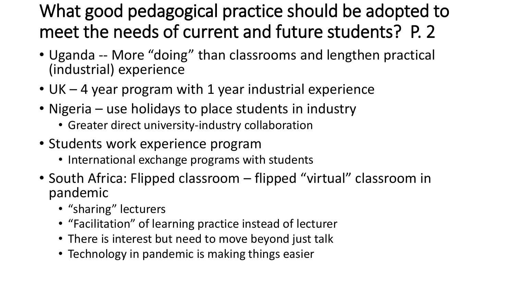## What good pedagogical practice should be adopted to meet the needs of current and future students? P. 2

- Uganda -- More "doing" than classrooms and lengthen practical (industrial) experience
- UK 4 year program with 1 year industrial experience
- Nigeria use holidays to place students in industry
	- Greater direct university-industry collaboration
- Students work experience program
	- International exchange programs with students
- South Africa: Flipped classroom flipped "virtual" classroom in pandemic
	- "sharing" lecturers
	- "Facilitation" of learning practice instead of lecturer
	- There is interest but need to move beyond just talk
	- Technology in pandemic is making things easier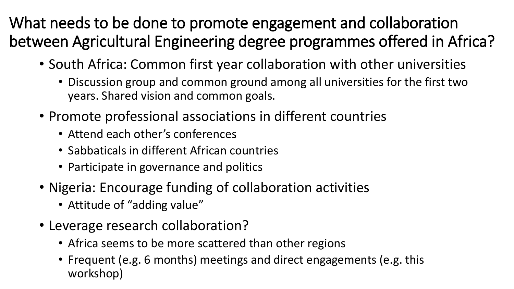What needs to be done to promote engagement and collaboration between Agricultural Engineering degree programmes offered in Africa?

- South Africa: Common first year collaboration with other universities
	- Discussion group and common ground among all universities for the first two years. Shared vision and common goals.
- Promote professional associations in different countries
	- Attend each other's conferences
	- Sabbaticals in different African countries
	- Participate in governance and politics
- Nigeria: Encourage funding of collaboration activities
	- Attitude of "adding value"
- Leverage research collaboration?
	- Africa seems to be more scattered than other regions
	- Frequent (e.g. 6 months) meetings and direct engagements (e.g. this workshop)